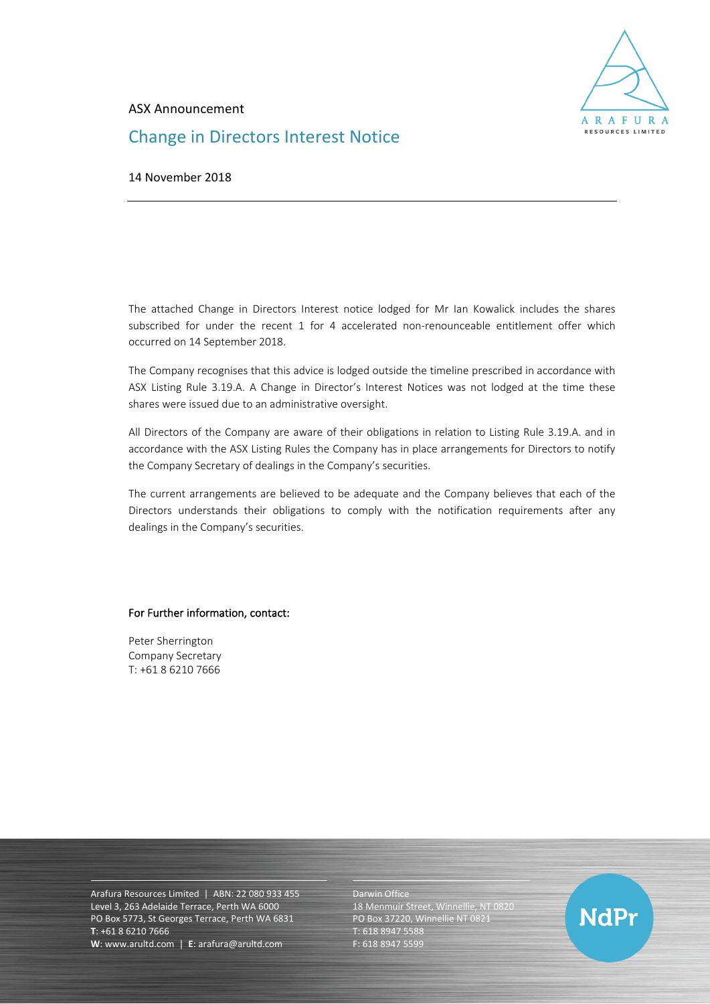

### ASX Announcement

# Change in Directors Interest Notice

14 November 2018

The attached Change in Directors Interest notice lodged for Mr Ian Kowalick includes the shares subscribed for under the recent 1 for 4 accelerated non-renounceable entitlement offer which occurred on 14 September 2018.

The Company recognises that this advice is lodged outside the timeline prescribed in accordance with ASX Listing Rule 3.19.A. A Change in Director's Interest Notices was not lodged at the time these shares were issued due to an administrative oversight.

All Directors of the Company are aware of their obligations in relation to Listing Rule 3.19.A. and in accordance with the ASX Listing Rules the Company has in place arrangements for Directors to notify the Company Secretary of dealings in the Company's securities.

The current arrangements are believed to be adequate and the Company believes that each of the Directors understands their obligations to comply with the notification requirements after any dealings in the Company's securities.

### For Further information, contact:

Peter Sherrington Company Secretary T: +61 8 6210 7666

Arafura Resources Limited | ABN: 22 080 933 455 Level 3, 263 Adelaide Terrace, Perth WA 6000 PO Box 5773, St Georges Terrace, Perth WA 6831 **T**: +61 8 6210 7666 **W**: [www.arultd.com](http://www.arultd.com/) | **E**[: arafura@arultd.com](mailto:arafura@arultd.com)

Darwin Office

18 Menmuir Street, Winnellie, NT 0820 PO Box 37220, Winnellie NT 0821 T: 618 8947 5588 F: 618 8947 5599

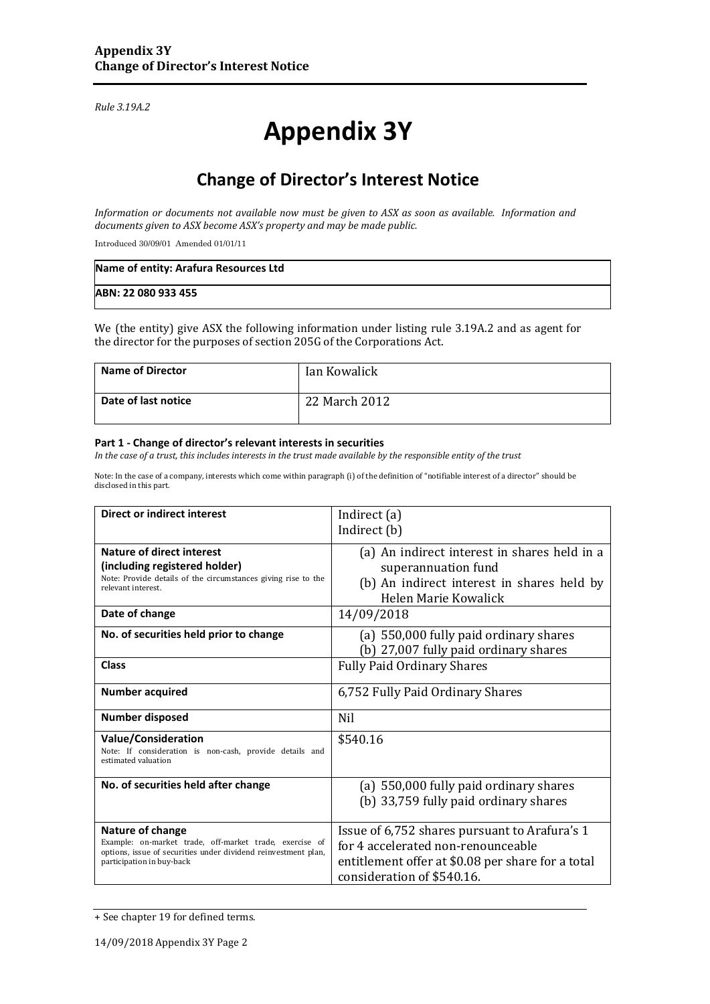*Rule 3.19A.2*

# **Appendix 3Y**

# **Change of Director's Interest Notice**

*Information or documents not available now must be given to ASX as soon as available. Information and documents given to ASX become ASX's property and may be made public.*

Introduced 30/09/01 Amended 01/01/11

| Name of entity: Arafura Resources Ltd |  |
|---------------------------------------|--|
| ABN: 22 080 933 455                   |  |

We (the entity) give ASX the following information under listing rule 3.19A.2 and as agent for the director for the purposes of section 205G of the Corporations Act.

| <b>Name of Director</b> | Ian Kowalick  |
|-------------------------|---------------|
| Date of last notice     | 22 March 2012 |

#### **Part 1 - Change of director's relevant interests in securities**

*In the case of a trust, this includes interests in the trust made available by the responsible entity of the trust*

Note: In the case of a company, interests which come within paragraph (i) of the definition of "notifiable interest of a director" should be disclosed in this part.

| Direct or indirect interest                                                                                                                                                | Indirect (a)<br>Indirect (b)                                                                                                                                           |
|----------------------------------------------------------------------------------------------------------------------------------------------------------------------------|------------------------------------------------------------------------------------------------------------------------------------------------------------------------|
| <b>Nature of direct interest</b><br>(including registered holder)<br>Note: Provide details of the circumstances giving rise to the<br>relevant interest.                   | (a) An indirect interest in shares held in a<br>superannuation fund<br>(b) An indirect interest in shares held by<br>Helen Marie Kowalick                              |
| Date of change                                                                                                                                                             | 14/09/2018                                                                                                                                                             |
| No. of securities held prior to change                                                                                                                                     | (a) 550,000 fully paid ordinary shares<br>(b) 27,007 fully paid ordinary shares                                                                                        |
| <b>Class</b>                                                                                                                                                               | <b>Fully Paid Ordinary Shares</b>                                                                                                                                      |
| <b>Number acquired</b>                                                                                                                                                     | 6,752 Fully Paid Ordinary Shares                                                                                                                                       |
| <b>Number disposed</b>                                                                                                                                                     | <b>Nil</b>                                                                                                                                                             |
| <b>Value/Consideration</b><br>Note: If consideration is non-cash, provide details and<br>estimated valuation                                                               | \$540.16                                                                                                                                                               |
| No. of securities held after change                                                                                                                                        | (a) 550,000 fully paid ordinary shares<br>(b) 33,759 fully paid ordinary shares                                                                                        |
| Nature of change<br>Example: on-market trade, off-market trade, exercise of<br>options, issue of securities under dividend reinvestment plan,<br>participation in buy-back | Issue of 6,752 shares pursuant to Arafura's 1<br>for 4 accelerated non-renounceable<br>entitlement offer at \$0.08 per share for a total<br>consideration of \$540.16. |

<sup>+</sup> See chapter 19 for defined terms.